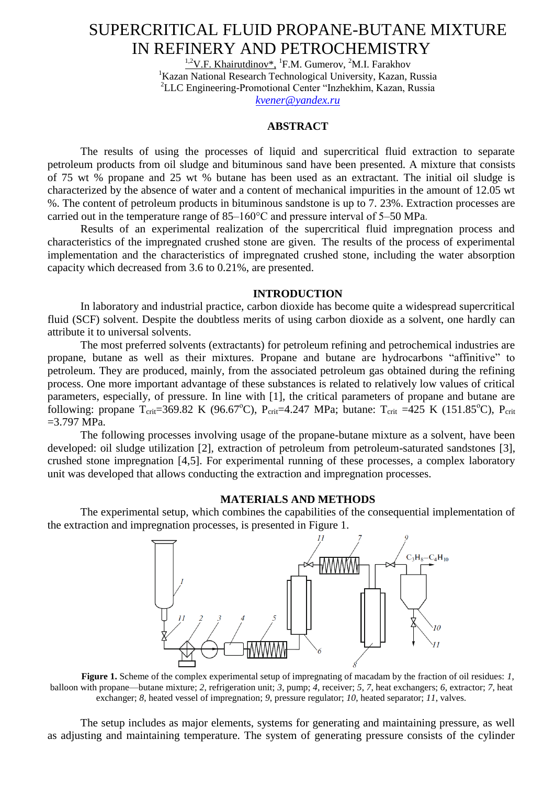# SUPERCRITICAL FLUID PROPANE-BUTANE MIXTURE IN REFINERY AND PETROCHEMISTRY

 $^{1,2}V.F.$  Khairutdinov\*, <sup>1</sup>F.M. Gumerov, <sup>2</sup>M.I. Farakhov <sup>1</sup>Kazan National Research Technological University, Kazan, Russia 2 LLC Engineering-Promotional Center "Inzhekhim, Kazan, Russia *[kvener@yandex.ru](mailto:kvener@yandex.ru)*

### **ABSTRACT**

The results of using the processes of liquid and supercritical fluid extraction to separate petroleum products from oil sludge and bituminous sand have been presented. A mixture that consists of 75 wt % propane and 25 wt % butane has been used as an extractant. The initial oil sludge is characterized by the absence of water and a content of mechanical impurities in the amount of 12.05 wt %. The content of petroleum products in bituminous sandstone is up to 7. 23%. Extraction processes are carried out in the temperature range of 85–160°C and pressure interval of 5–50 MPa.

Results of an experimental realization of the supercritical fluid impregnation process and characteristics of the impregnated crushed stone are given. The results of the process of experimental implementation and the characteristics of impregnated crushed stone, including the water absorption capacity which decreased from 3.6 to 0.21%, are presented.

## **INTRODUCTION**

In laboratory and industrial practice, carbon dioxide has become quite a widespread supercritical fluid (SCF) solvent. Despite the doubtless merits of using carbon dioxide as a solvent, one hardly can attribute it to universal solvents.

The most preferred solvents (extractants) for petroleum refining and petrochemical industries are propane, butane as well as their mixtures. Propane and butane are hydrocarbons "affinitive" to petroleum. They are produced, mainly, from the associated petroleum gas obtained during the refining process. One more important advantage of these substances is related to relatively low values of critical parameters, especially, of pressure. In line with [1], the critical parameters of propane and butane are following: propane  $T_{\text{crit}}=369.82 \text{ K}$  (96.67<sup>o</sup>C), P<sub>crit</sub>=4.247 MPa; butane:  $T_{\text{crit}}=425 \text{ K}$  (151.85<sup>o</sup>C), P<sub>crit</sub>  $=3.797$  MPa.

The following processes involving usage of the propane-butane mixture as a solvent, have been developed: oil sludge utilization [2], extraction of petroleum from petroleum-saturated sandstones [3], crushed stone impregnation [4,5]. For experimental running of these processes, a complex laboratory unit was developed that allows conducting the extraction and impregnation processes.

#### **MATERIALS AND METHODS**

The experimental setup, which combines the capabilities of the consequential implementation of the extraction and impregnation processes, is presented in Figure 1.



**Figure 1.** Scheme of the complex experimental setup of impregnating of macadam by the fraction of oil residues: *1*, balloon with propane—butane mixture; *2*, refrigeration unit; *3*, pump; *4*, receiver; *5*, *7*, heat exchangers; *6*, extractor; *7*, heat exchanger; *8*, heated vessel of impregnation; *9*, pressure regulator; *10*, heated separator; *11*, valves.

The setup includes as major elements, systems for generating and maintaining pressure, as well as adjusting and maintaining temperature. The system of generating pressure consists of the cylinder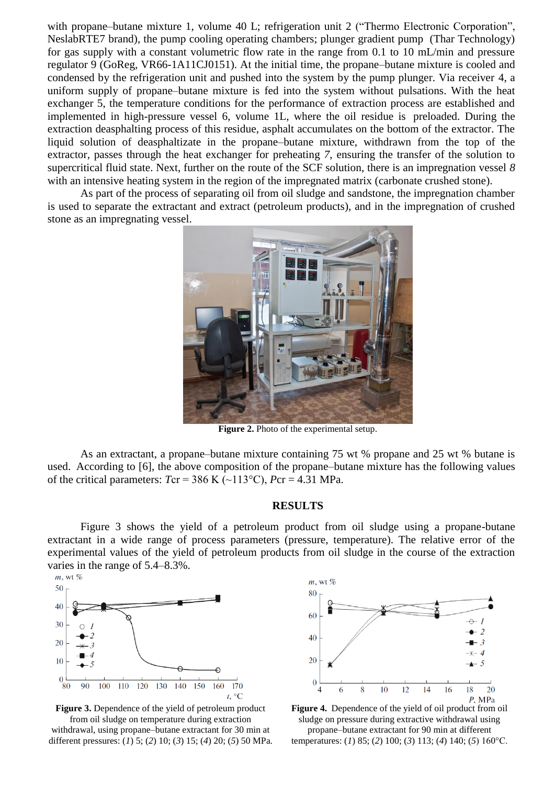with propane–butane mixture 1, volume 40 L; refrigeration unit 2 ("Thermo Electronic Corporation", NeslabRTE7 brand), the pump cooling operating chambers; plunger gradient pump (Thar Technology) for gas supply with a constant volumetric flow rate in the range from 0.1 to 10 mL/min and pressure regulator 9 (GoReg, VR66-1A11CJ0151). At the initial time, the propane–butane mixture is cooled and condensed by the refrigeration unit and pushed into the system by the pump plunger. Via receiver 4, a uniform supply of propane–butane mixture is fed into the system without pulsations. With the heat exchanger 5, the temperature conditions for the performance of extraction process are established and implemented in high-pressure vessel 6, volume 1L, where the oil residue is preloaded. During the extraction deasphalting process of this residue, asphalt accumulates on the bottom of the extractor. The liquid solution of deasphaltizate in the propane–butane mixture, withdrawn from the top of the extractor, passes through the heat exchanger for preheating *7*, ensuring the transfer of the solution to supercritical fluid state. Next, further on the route of the SCF solution, there is an impregnation vessel *8*  with an intensive heating system in the region of the impregnated matrix (carbonate crushed stone).

As part of the process of separating oil from oil sludge and sandstone, the impregnation chamber is used to separate the extractant and extract (petroleum products), and in the impregnation of crushed stone as an impregnating vessel.



**Figure 2.** Photo of the experimental setup.

As an extractant, a propane–butane mixture containing 75 wt % propane and 25 wt % butane is used. According to [6], the above composition of the propane–butane mixture has the following values of the critical parameters:  $Tcr = 386$  K ( $\sim$ 113°C),  $Pcr = 4.31$  MPa.

# **RESULTS**

Figure 3 shows the yield of a petroleum product from oil sludge using a propane-butane extractant in a wide range of process parameters (pressure, temperature). The relative error of the experimental values of the yield of petroleum products from oil sludge in the course of the extraction varies in the range of 5.4–8.3%.<br>  $\frac{m}{m}$ , wt %



**Figure 3.** Dependence of the yield of petroleum product from oil sludge on temperature during extraction withdrawal, using propane–butane extractant for 30 min at different pressures: (*1*) 5; (*2*) 10; (*3*) 15; (*4*) 20; (*5*) 50 MPa.



**Figure 4.** Dependence of the yield of oil product from oil sludge on pressure during extractive withdrawal using propane–butane extractant for 90 min at different temperatures: (*1*) 85; (*2*) 100; (*3*) 113; (*4*) 140; (*5*) 160°C.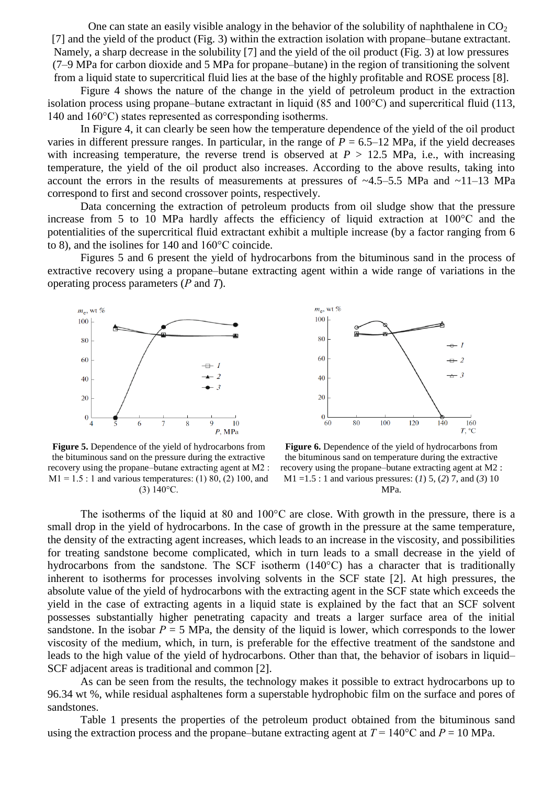One can state an easily visible analogy in the behavior of the solubility of naphthalene in  $CO<sub>2</sub>$ [7] and the yield of the product (Fig. 3) within the extraction isolation with propane–butane extractant. Namely, a sharp decrease in the solubility [7] and the yield of the oil product (Fig. 3) at low pressures (7–9 MPa for carbon dioxide and 5 MPa for propane–butane) in the region of transitioning the solvent from a liquid state to supercritical fluid lies at the base of the highly profitable and ROSE process [8].

Figure 4 shows the nature of the change in the yield of petroleum product in the extraction isolation process using propane–butane extractant in liquid (85 and 100°C) and supercritical fluid (113, 140 and 160°C) states represented as corresponding isotherms.

In Figure 4, it can clearly be seen how the temperature dependence of the yield of the oil product varies in different pressure ranges. In particular, in the range of  $P = 6.5{\text -}12$  MPa, if the yield decreases with increasing temperature, the reverse trend is observed at  $P > 12.5$  MPa, i.e., with increasing temperature, the yield of the oil product also increases. According to the above results, taking into account the errors in the results of measurements at pressures of ~4.5–5.5 MPa and ~11–13 MPa correspond to first and second crossover points, respectively.

Data concerning the extraction of petroleum products from oil sludge show that the pressure increase from 5 to 10 MPa hardly affects the efficiency of liquid extraction at 100°С and the potentialities of the supercritical fluid extractant exhibit a multiple increase (by a factor ranging from 6 to 8), and the isolines for 140 and 160°С coincide.

Figures 5 and 6 present the yield of hydrocarbons from the bituminous sand in the process of extractive recovery using a propane–butane extracting agent within a wide range of variations in the operating process parameters (*Р* and *Т*).





**Figure 5.** Dependence of the yield of hydrocarbons from the bituminous sand on the pressure during the extractive recovery using the propane–butane extracting agent at М2 :  $M1 = 1.5$ : 1 and various temperatures: (1) 80, (2) 100, and (3) 140°С.

Figure 6. Dependence of the yield of hydrocarbons from the bituminous sand on temperature during the extractive recovery using the propane–butane extracting agent at М2 : М1 =1.5 : 1 and various pressures: (*1*) 5, (*2*) 7, and (*3*) 10 MPa.

The isotherms of the liquid at 80 and 100<sup>o</sup>C are close. With growth in the pressure, there is a small drop in the yield of hydrocarbons. In the case of growth in the pressure at the same temperature, the density of the extracting agent increases, which leads to an increase in the viscosity, and possibilities for treating sandstone become complicated, which in turn leads to a small decrease in the yield of hydrocarbons from the sandstone. The SCF isotherm (140°C) has a character that is traditionally inherent to isotherms for processes involving solvents in the SCF state [2]. At high pressures, the absolute value of the yield of hydrocarbons with the extracting agent in the SCF state which exceeds the yield in the case of extracting agents in a liquid state is explained by the fact that an SCF solvent possesses substantially higher penetrating capacity and treats a larger surface area of the initial sandstone. In the isobar  $P = 5$  MPa, the density of the liquid is lower, which corresponds to the lower viscosity of the medium, which, in turn, is preferable for the effective treatment of the sandstone and leads to the high value of the yield of hydrocarbons. Other than that, the behavior of isobars in liquid– SCF adjacent areas is traditional and common [2].

As can be seen from the results, the technology makes it possible to extract hydrocarbons up to 96.34 wt %, while residual asphaltenes form a superstable hydrophobic film on the surface and pores of sandstones.

Table 1 presents the properties of the petroleum product obtained from the bituminous sand using the extraction process and the propane–butane extracting agent at  $T = 140^{\circ}$ C and  $P = 10$  MPa.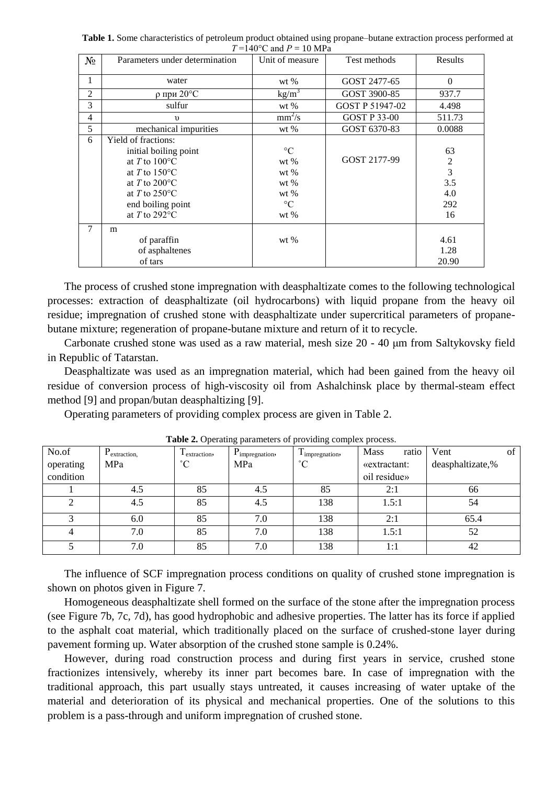**Table 1.** Some characteristics of petroleum product obtained using propane–butane extraction process performed at  $T = 140^{\circ}$ C and  $P = 10 \text{ MPa}$ 

| $N_2$          | Parameters under determination                                                                                                                                                                                    | Unit of measure                                                                      | Test methods        | Results                                              |
|----------------|-------------------------------------------------------------------------------------------------------------------------------------------------------------------------------------------------------------------|--------------------------------------------------------------------------------------|---------------------|------------------------------------------------------|
| 1              | water                                                                                                                                                                                                             | wt $%$                                                                               | GOST 2477-65        | $\Omega$                                             |
| $\overline{2}$ | р при 20°С                                                                                                                                                                                                        | kg/m <sup>3</sup>                                                                    | GOST 3900-85        |                                                      |
| 3              | sulfur                                                                                                                                                                                                            | GOST P 51947-02<br>wt $%$                                                            |                     | 4.498                                                |
| 4              | $\upsilon$                                                                                                                                                                                                        | $mm^2/s$                                                                             | <b>GOST P 33-00</b> | 511.73                                               |
| 5              | mechanical impurities                                                                                                                                                                                             | wt $%$                                                                               | GOST 6370-83        | 0.0088                                               |
| 6              | Yield of fractions:<br>initial boiling point<br>at $T$ to $100^{\circ}$ C<br>at T to $150^{\circ}$ C<br>at T to $200^{\circ}$ C<br>at T to $250^{\circ}$ C<br>end boiling point<br>at $T$ to 292 $\rm{^{\circ}C}$ | $\rm ^{\circ}C$<br>wt $%$<br>wt $%$<br>wt $%$<br>wt $%$<br>$\rm ^{\circ}C$<br>wt $%$ | GOST 2177-99        | 63<br>$\overline{c}$<br>3<br>3.5<br>4.0<br>292<br>16 |
| 7              | m<br>of paraffin<br>of asphaltenes<br>of tars                                                                                                                                                                     | wt $%$                                                                               |                     | 4.61<br>1.28<br>20.90                                |

The process of crushed stone impregnation with deasphaltizate comes to the following technological processes: extraction of deasphaltizate (oil hydrocarbons) with liquid propane from the heavy oil residue; impregnation of crushed stone with deasphaltizate under supercritical parameters of propanebutane mixture; regeneration of propane-butane mixture and return of it to recycle.

Carbonate crushed stone was used as a raw material, mesh size 20 - 40 μm from Saltykovsky field in Republic of Tatarstan.

Deasphaltizate was used as an impregnation material, which had been gained from the heavy oil residue of conversion process of high-viscosity oil from Ashalchinsk place by thermal-steam effect method [9] and propan/butan deasphaltizing [9].

Operating parameters of providing complex process are given in Table 2.

| No.of     | $P_{extraction,}$ | m<br>I extraction, | $P_{impreguation}$ | $\mathbf{r}$<br>I impregnation, | ratio<br>Mass | Vent             | of |
|-----------|-------------------|--------------------|--------------------|---------------------------------|---------------|------------------|----|
| operating | MPa               | $^{\circ}C$        | MPa                | $^{\circ}C$                     | «extractant:  | deasphaltizate,% |    |
| condition |                   |                    | oil residue»       |                                 |               |                  |    |
|           | 4.5               | 85                 | 4.5                | 85                              | 2:1           | 66               |    |
| ◠         | 4.5               | 85                 | 4.5                | 138                             | 1.5:1         | 54               |    |
|           | 6.0               | 85                 | 7.0                | 138                             | 2:1           | 65.4             |    |
|           | 7.0               | 85                 | 7.0                | 138                             | 1.5:1         | 52               |    |
|           | 7.0               | 85                 | 7.0                | 138                             | 1:1           | 42               |    |

**Table 2.** Operating parameters of providing complex process.

The influence of SCF impregnation process conditions on quality of crushed stone impregnation is shown on photos given in Figure 7.

Homogeneous deasphaltizate shell formed on the surface of the stone after the impregnation process (see Figure 7b, 7c, 7d), has good hydrophobic and adhesive properties. The latter has its force if applied to the asphalt coat material, which traditionally placed on the surface of crushed-stone layer during pavement forming up. Water absorption of the crushed stone sample is 0.24%.

However, during road construction process and during first years in service, crushed stone fractionizes intensively, whereby its inner part becomes bare. In case of impregnation with the traditional approach, this part usually stays untreated, it causes increasing of water uptake of the material and deterioration of its physical and mechanical properties. One of the solutions to this problem is a pass-through and uniform impregnation of crushed stone.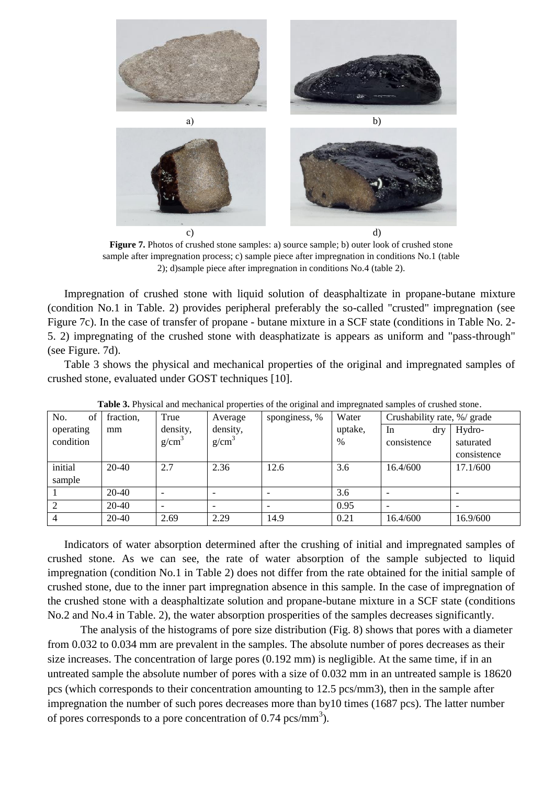

**Figure 7.** Photos of crushed stone samples: a) source sample; b) outer look of crushed stone sample after impregnation process; c) sample piece after impregnation in conditions No.1 (table 2); d)sample piece after impregnation in conditions No.4 (table 2).

Impregnation of crushed stone with liquid solution of deasphaltizate in propane-butane mixture (condition No.1 in Table. 2) provides peripheral preferably the so-called "crusted" impregnation (see Figure 7c). In the case of transfer of propane - butane mixture in a SCF state (conditions in Table No. 2- 5. 2) impregnating of the crushed stone with deasphatizate is appears as uniform and "pass-through" (see Figure. 7d).

Table 3 shows the physical and mechanical properties of the original and impregnated samples of crushed stone, evaluated under GOST techniques [10].

| <b>THOICE</b> OF I HYSICAL and mechanical properties of the original and impregnated samples of crashed stone. |           |                   |                   |               |         |                             |             |  |  |
|----------------------------------------------------------------------------------------------------------------|-----------|-------------------|-------------------|---------------|---------|-----------------------------|-------------|--|--|
| No.<br>of                                                                                                      | fraction, | True              | Average           | sponginess, % | Water   | Crushability rate, %/ grade |             |  |  |
| operating                                                                                                      | mm        | density,          | density,          |               | uptake, | drv<br>In                   | Hydro-      |  |  |
| condition                                                                                                      |           | g/cm <sup>3</sup> | g/cm <sup>3</sup> |               | $\%$    | consistence                 | saturated   |  |  |
|                                                                                                                |           |                   |                   |               |         |                             | consistence |  |  |
| initial                                                                                                        | 20-40     | 2.7               | 2.36              | 12.6          | 3.6     | 16.4/600                    | 17.1/600    |  |  |
| sample                                                                                                         |           |                   |                   |               |         |                             |             |  |  |
|                                                                                                                | 20-40     |                   |                   |               | 3.6     |                             |             |  |  |
|                                                                                                                | 20-40     |                   |                   |               | 0.95    |                             |             |  |  |
| $\overline{4}$                                                                                                 | 20-40     | 2.69              | 2.29              | 14.9          | 0.21    | 16.4/600                    | 16.9/600    |  |  |

**Table 3.** Physical and mechanical properties of the original and impregnated samples of crushed stone.

Indicators of water absorption determined after the crushing of initial and impregnated samples of crushed stone. As we can see, the rate of water absorption of the sample subjected to liquid impregnation (condition No.1 in Table 2) does not differ from the rate obtained for the initial sample of crushed stone, due to the inner part impregnation absence in this sample. In the case of impregnation of the crushed stone with a deasphaltizate solution and propane-butane mixture in a SCF state (conditions No.2 and No.4 in Table. 2), the water absorption prosperities of the samples decreases significantly.

The analysis of the histograms of pore size distribution (Fig. 8) shows that pores with a diameter from 0.032 to 0.034 mm are prevalent in the samples. The absolute number of pores decreases as their size increases. The concentration of large pores (0.192 mm) is negligible. At the same time, if in an untreated sample the absolute number of pores with a size of 0.032 mm in an untreated sample is 18620 pcs (which corresponds to their concentration amounting to 12.5 pcs/mm3), then in the sample after impregnation the number of such pores decreases more than by10 times (1687 pcs). The latter number of pores corresponds to a pore concentration of  $0.74 \text{ pcs/mm}^3$ ).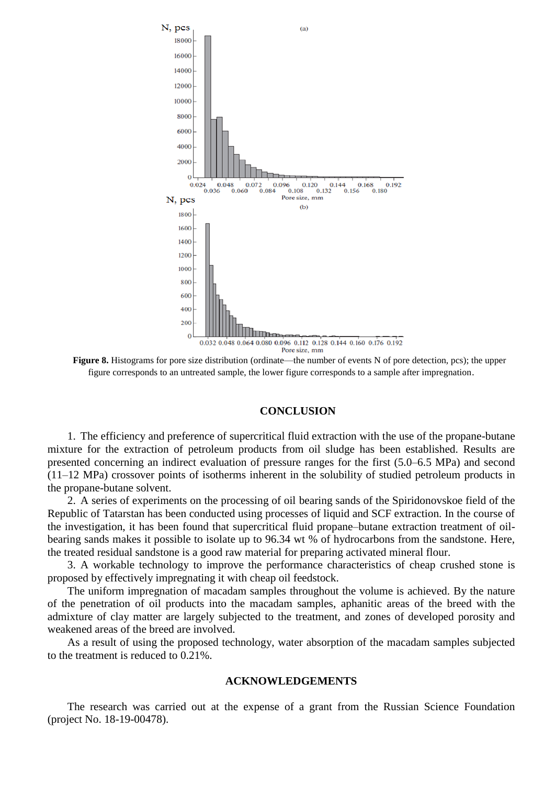

**Figure 8.** Histograms for pore size distribution (ordinate—the number of events N of pore detection, pcs); the upper figure corresponds to an untreated sample, the lower figure corresponds to a sample after impregnation.

#### **CONCLUSION**

1. The efficiency and preference of supercritical fluid extraction with the use of the propane-butane mixture for the extraction of petroleum products from oil sludge has been established. Results are presented concerning an indirect evaluation of pressure ranges for the first (5.0–6.5 MPa) and second (11–12 MPa) crossover points of isotherms inherent in the solubility of studied petroleum products in the propane-butane solvent.

2. A series of experiments on the processing of oil bearing sands of the Spiridonovskoe field of the Republic of Tatarstan has been conducted using processes of liquid and SCF extraction. In the course of the investigation, it has been found that supercritical fluid propane–butane extraction treatment of oilbearing sands makes it possible to isolate up to 96.34 wt % of hydrocarbons from the sandstone. Here, the treated residual sandstone is a good raw material for preparing activated mineral flour.

3. A workable technology to improve the performance characteristics of cheap crushed stone is proposed by effectively impregnating it with cheap oil feedstock.

The uniform impregnation of macadam samples throughout the volume is achieved. By the nature of the penetration of oil products into the macadam samples, aphanitic areas of the breed with the admixture of clay matter are largely subjected to the treatment, and zones of developed porosity and weakened areas of the breed are involved.

As a result of using the proposed technology, water absorption of the macadam samples subjected to the treatment is reduced to 0.21%.

## **ACKNOWLEDGEMENTS**

The research was carried out at the expense of a grant from the Russian Science Foundation (project No. 18-19-00478).